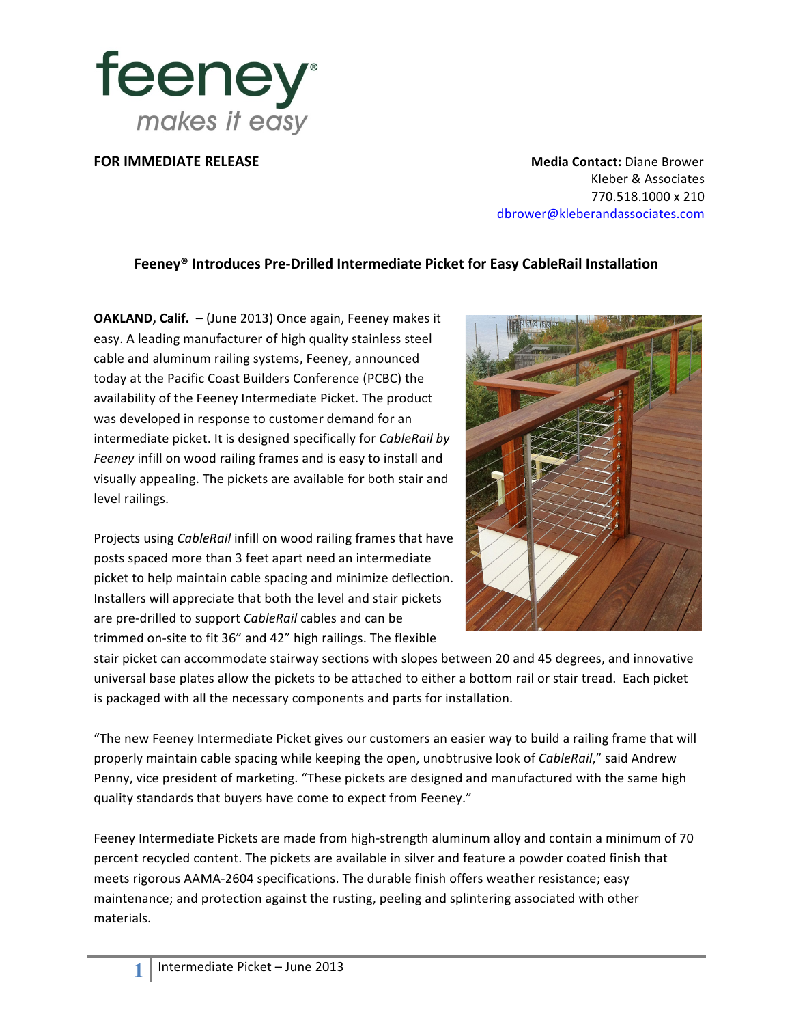

**FOR IMMEDIATE RELEASE Media Contact:** Diane Brower Kleber & Associates 770.518.1000 x 210 dbrower@kleberandassociates.com

## **Feeney® Introduces Pre-Drilled Intermediate Picket for Easy CableRail Installation**

**OAKLAND, Calif.** - (June 2013) Once again, Feeney makes it easy. A leading manufacturer of high quality stainless steel cable and aluminum railing systems, Feeney, announced today at the Pacific Coast Builders Conference (PCBC) the availability of the Feeney Intermediate Picket. The product was developed in response to customer demand for an intermediate picket. It is designed specifically for *CableRail by Feeney* infill on wood railing frames and is easy to install and visually appealing. The pickets are available for both stair and level railings.

Projects using *CableRail* infill on wood railing frames that have posts spaced more than 3 feet apart need an intermediate picket to help maintain cable spacing and minimize deflection. Installers will appreciate that both the level and stair pickets are pre-drilled to support *CableRail* cables and can be trimmed on-site to fit 36" and 42" high railings. The flexible



stair picket can accommodate stairway sections with slopes between 20 and 45 degrees, and innovative universal base plates allow the pickets to be attached to either a bottom rail or stair tread. Each picket is packaged with all the necessary components and parts for installation.

"The new Feeney Intermediate Picket gives our customers an easier way to build a railing frame that will properly maintain cable spacing while keeping the open, unobtrusive look of *CableRail*," said Andrew Penny, vice president of marketing. "These pickets are designed and manufactured with the same high quality standards that buyers have come to expect from Feeney."

Feeney Intermediate Pickets are made from high-strength aluminum alloy and contain a minimum of 70 percent recycled content. The pickets are available in silver and feature a powder coated finish that meets rigorous AAMA-2604 specifications. The durable finish offers weather resistance; easy maintenance; and protection against the rusting, peeling and splintering associated with other materials.